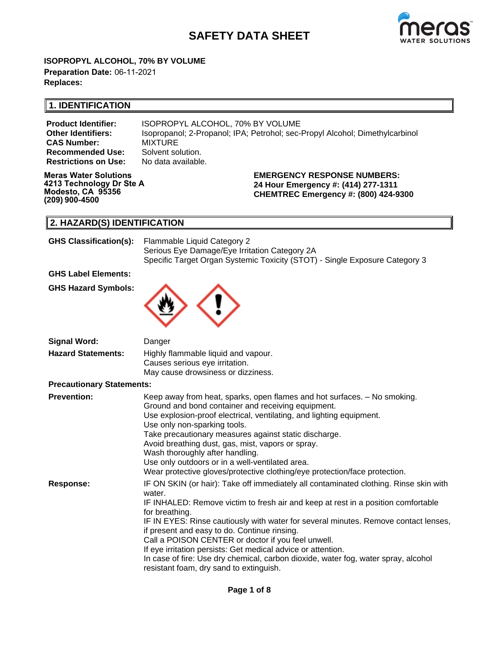# **SAFETY DATA SHEET**



**ISOPROPYL ALCOHOL, 70% BY VOLUME Preparation Date:** 06-11-2021 **Replaces:**

## **1. IDENTIFICATION**

**CAS Number:** MIXTURE<br>**Recommended Use:** Solvent solution. **Recommended Use: Restrictions on Use:** No data available.

**Product Identifier:** ISOPROPYL ALCOHOL, 70% BY VOLUME **Other Identifiers:** Isopropanol; 2-Propanol; IPA; Petrohol; sec-Propyl Alcohol; Dimethylcarbinol

**Meras Water Solutions 4213 Technology Dr Ste A Modesto, CA 95356 (209) 900-4500**

**EMERGENCY RESPONSE NUMBERS: 24 Hour Emergency #: (414) 277-1311 CHEMTREC Emergency #: (800) 424-9300**

## **2. HAZARD(S) IDENTIFICATION**

| <b>GHS Classification(s):</b> | Flammable Liquid Category 2                                                 |
|-------------------------------|-----------------------------------------------------------------------------|
|                               | Serious Eye Damage/Eye Irritation Category 2A                               |
|                               | Specific Target Organ Systemic Toxicity (STOT) - Single Exposure Category 3 |
| <b>GHS Label Elements:</b>    |                                                                             |
| <b>GHS Hazard Symbols:</b>    |                                                                             |



| <b>Signal Word:</b>              | Danger                                                                                                                        |
|----------------------------------|-------------------------------------------------------------------------------------------------------------------------------|
| <b>Hazard Statements:</b>        | Highly flammable liquid and vapour.<br>Causes serious eye irritation.<br>May cause drowsiness or dizziness.                   |
| <b>Precautionary Statements:</b> |                                                                                                                               |
| <b>Prevention:</b>               | Keep away from heat, sparks, open flames and hot surfaces. - No smoking.<br>Ground and bond container and receiving equipment |

|                  | Ground and bond container and receiving equipment.                                                                            |
|------------------|-------------------------------------------------------------------------------------------------------------------------------|
|                  | Use explosion-proof electrical, ventilating, and lighting equipment.                                                          |
|                  | Use only non-sparking tools.                                                                                                  |
|                  | Take precautionary measures against static discharge.                                                                         |
|                  | Avoid breathing dust, gas, mist, vapors or spray.                                                                             |
|                  | Wash thoroughly after handling.                                                                                               |
|                  | Use only outdoors or in a well-ventilated area.                                                                               |
|                  | Wear protective gloves/protective clothing/eye protection/face protection.                                                    |
| <b>Response:</b> | IF ON SKIN (or hair): Take off immediately all contaminated clothing. Rinse skin with<br>water.                               |
|                  | IF INHALED: Remove victim to fresh air and keep at rest in a position comfortable<br>for breathing.                           |
|                  | IF IN EYES: Rinse cautiously with water for several minutes. Remove contact lenses,                                           |
|                  | if present and easy to do. Continue rinsing.                                                                                  |
|                  | Call a POISON CENTER or doctor if you feel unwell.                                                                            |
|                  | If eye irritation persists: Get medical advice or attention.                                                                  |
|                  | In case of fire: Use dry chemical, carbon dioxide, water fog, water spray, alcohol<br>resistant foam, dry sand to extinguish. |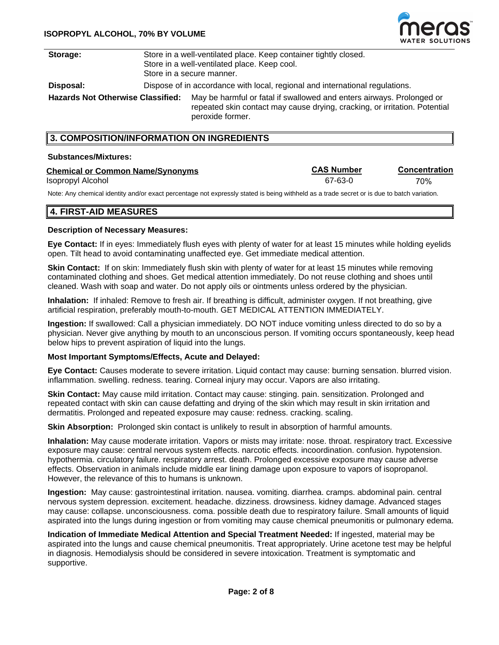

| Storage:                                 | Store in a well-ventilated place. Keep container tightly closed.<br>Store in a well-ventilated place. Keep cool.<br>Store in a secure manner. |                                                                                                                                                                         |  |  |
|------------------------------------------|-----------------------------------------------------------------------------------------------------------------------------------------------|-------------------------------------------------------------------------------------------------------------------------------------------------------------------------|--|--|
| Disposal:                                | Dispose of in accordance with local, regional and international regulations.                                                                  |                                                                                                                                                                         |  |  |
| <b>Hazards Not Otherwise Classified:</b> |                                                                                                                                               | May be harmful or fatal if swallowed and enters airways. Prolonged or<br>repeated skin contact may cause drying, cracking, or irritation. Potential<br>peroxide former. |  |  |

### **3. COMPOSITION/INFORMATION ON INGREDIENTS**

#### **Substances/Mixtures:**

| <b>Chemical or Common Name/Synonyms</b> | <b>CAS Number</b> | Concentration |
|-----------------------------------------|-------------------|---------------|
| Isopropyl Alcohol                       | 67-63-0           | 70%           |

Note: Any chemical identity and/or exact percentage not expressly stated is being withheld as a trade secret or is due to batch variation.

### **4. FIRST-AID MEASURES**

### **Description of Necessary Measures:**

**Eye Contact:** If in eyes: Immediately flush eyes with plenty of water for at least 15 minutes while holding eyelids open. Tilt head to avoid contaminating unaffected eye. Get immediate medical attention.

**Skin Contact:** If on skin: Immediately flush skin with plenty of water for at least 15 minutes while removing contaminated clothing and shoes. Get medical attention immediately. Do not reuse clothing and shoes until cleaned. Wash with soap and water. Do not apply oils or ointments unless ordered by the physician.

**Inhalation:** If inhaled: Remove to fresh air. If breathing is difficult, administer oxygen. If not breathing, give artificial respiration, preferably mouth-to-mouth. GET MEDICAL ATTENTION IMMEDIATELY.

**Ingestion:** If swallowed: Call a physician immediately. DO NOT induce vomiting unless directed to do so by a physician. Never give anything by mouth to an unconscious person. If vomiting occurs spontaneously, keep head below hips to prevent aspiration of liquid into the lungs.

#### **Most Important Symptoms/Effects, Acute and Delayed:**

**Eye Contact:** Causes moderate to severe irritation. Liquid contact may cause: burning sensation. blurred vision. inflammation. swelling. redness. tearing. Corneal injury may occur. Vapors are also irritating.

**Skin Contact:** May cause mild irritation. Contact may cause: stinging. pain. sensitization. Prolonged and repeated contact with skin can cause defatting and drying of the skin which may result in skin irritation and dermatitis. Prolonged and repeated exposure may cause: redness. cracking. scaling.

**Skin Absorption:** Prolonged skin contact is unlikely to result in absorption of harmful amounts.

**Inhalation:** May cause moderate irritation. Vapors or mists may irritate: nose. throat. respiratory tract. Excessive exposure may cause: central nervous system effects. narcotic effects. incoordination. confusion. hypotension. hypothermia. circulatory failure. respiratory arrest. death. Prolonged excessive exposure may cause adverse effects. Observation in animals include middle ear lining damage upon exposure to vapors of isopropanol. However, the relevance of this to humans is unknown.

**Ingestion:** May cause: gastrointestinal irritation. nausea. vomiting. diarrhea. cramps. abdominal pain. central nervous system depression. excitement. headache. dizziness. drowsiness. kidney damage. Advanced stages may cause: collapse. unconsciousness. coma. possible death due to respiratory failure. Small amounts of liquid aspirated into the lungs during ingestion or from vomiting may cause chemical pneumonitis or pulmonary edema.

**Indication of Immediate Medical Attention and Special Treatment Needed:** If ingested, material may be aspirated into the lungs and cause chemical pneumonitis. Treat appropriately. Urine acetone test may be helpful in diagnosis. Hemodialysis should be considered in severe intoxication. Treatment is symptomatic and supportive.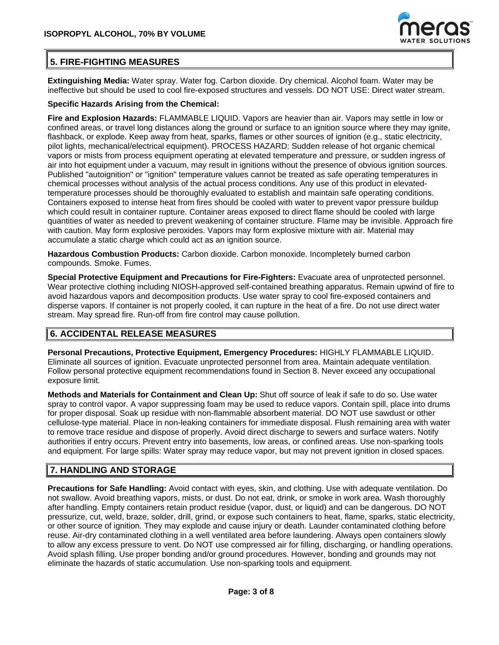

## **5. FIRE-FIGHTING MEASURES**

**Extinguishing Media:** Water spray. Water fog. Carbon dioxide. Dry chemical. Alcohol foam. Water may be ineffective but should be used to cool fire-exposed structures and vessels. DO NOT USE: Direct water stream.

### **Specific Hazards Arising from the Chemical:**

**Fire and Explosion Hazards:** FLAMMABLE LIQUID. Vapors are heavier than air. Vapors may settle in low or confined areas, or travel long distances along the ground or surface to an ignition source where they may ignite, flashback, or explode. Keep away from heat, sparks, flames or other sources of ignition (e.g., static electricity, pilot lights, mechanical/electrical equipment). PROCESS HAZARD: Sudden release of hot organic chemical vapors or mists from process equipment operating at elevated temperature and pressure, or sudden ingress of air into hot equipment under a vacuum, may result in ignitions without the presence of obvious ignition sources. Published "autoignition" or "ignition" temperature values cannot be treated as safe operating temperatures in chemical processes without analysis of the actual process conditions. Any use of this product in elevatedtemperature processes should be thoroughly evaluated to establish and maintain safe operating conditions. Containers exposed to intense heat from fires should be cooled with water to prevent vapor pressure buildup which could result in container rupture. Container areas exposed to direct flame should be cooled with large quantities of water as needed to prevent weakening of container structure. Flame may be invisible. Approach fire with caution. May form explosive peroxides. Vapors may form explosive mixture with air. Material may accumulate a static charge which could act as an ignition source.

**Hazardous Combustion Products:** Carbon dioxide. Carbon monoxide. Incompletely burned carbon compounds. Smoke. Fumes.

**Special Protective Equipment and Precautions for Fire-Fighters:** Evacuate area of unprotected personnel. Wear protective clothing including NIOSH-approved self-contained breathing apparatus. Remain upwind of fire to avoid hazardous vapors and decomposition products. Use water spray to cool fire-exposed containers and disperse vapors. If container is not properly cooled, it can rupture in the heat of a fire. Do not use direct water stream. May spread fire. Run-off from fire control may cause pollution.

## **6. ACCIDENTAL RELEASE MEASURES**

**Personal Precautions, Protective Equipment, Emergency Procedures:** HIGHLY FLAMMABLE LIQUID. Eliminate all sources of ignition. Evacuate unprotected personnel from area. Maintain adequate ventilation. Follow personal protective equipment recommendations found in Section 8. Never exceed any occupational exposure limit.

**Methods and Materials for Containment and Clean Up:** Shut off source of leak if safe to do so. Use water spray to control vapor. A vapor suppressing foam may be used to reduce vapors. Contain spill, place into drums for proper disposal. Soak up residue with non-flammable absorbent material. DO NOT use sawdust or other cellulose-type material. Place in non-leaking containers for immediate disposal. Flush remaining area with water to remove trace residue and dispose of properly. Avoid direct discharge to sewers and surface waters. Notify authorities if entry occurs. Prevent entry into basements, low areas, or confined areas. Use non-sparking tools and equipment. For large spills: Water spray may reduce vapor, but may not prevent ignition in closed spaces.

## **7. HANDLING AND STORAGE**

**Precautions for Safe Handling:** Avoid contact with eyes, skin, and clothing. Use with adequate ventilation. Do not swallow. Avoid breathing vapors, mists, or dust. Do not eat, drink, or smoke in work area. Wash thoroughly after handling. Empty containers retain product residue (vapor, dust, or liquid) and can be dangerous. DO NOT pressurize, cut, weld, braze, solder, drill, grind, or expose such containers to heat, flame, sparks, static electricity, or other source of ignition. They may explode and cause injury or death. Launder contaminated clothing before reuse. Air-dry contaminated clothing in a well ventilated area before laundering. Always open containers slowly to allow any excess pressure to vent. Do NOT use compressed air for filling, discharging, or handling operations. Avoid splash filling. Use proper bonding and/or ground procedures. However, bonding and grounds may not eliminate the hazards of static accumulation. Use non-sparking tools and equipment.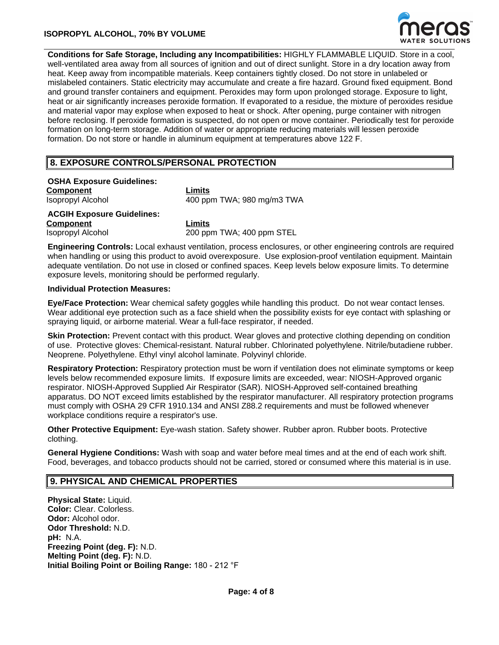### **ISOPROPYL ALCOHOL, 70% BY VOLUME**



**Conditions for Safe Storage, Including any Incompatibilities:** HIGHLY FLAMMABLE LIQUID. Store in a cool, well-ventilated area away from all sources of ignition and out of direct sunlight. Store in a dry location away from heat. Keep away from incompatible materials. Keep containers tightly closed. Do not store in unlabeled or mislabeled containers. Static electricity may accumulate and create a fire hazard. Ground fixed equipment. Bond and ground transfer containers and equipment. Peroxides may form upon prolonged storage. Exposure to light, heat or air significantly increases peroxide formation. If evaporated to a residue, the mixture of peroxides residue and material vapor may explose when exposed to heat or shock. After opening, purge container with nitrogen before reclosing. If peroxide formation is suspected, do not open or move container. Periodically test for peroxide formation on long-term storage. Addition of water or appropriate reducing materials will lessen peroxide formation. Do not store or handle in aluminum equipment at temperatures above 122 F.

### **8. EXPOSURE CONTROLS/PERSONAL PROTECTION**

**OSHA Exposure Guidelines: Component Limits** Isopropyl Alcohol 400 ppm TWA; 980 mg/m3 TWA

**ACGIH Exposure Guidelines: Component Limits** Isopropyl Alcohol 200 ppm TWA; 400 ppm STEL

**Engineering Controls:** Local exhaust ventilation, process enclosures, or other engineering controls are required when handling or using this product to avoid overexposure. Use explosion-proof ventilation equipment. Maintain adequate ventilation. Do not use in closed or confined spaces. Keep levels below exposure limits. To determine exposure levels, monitoring should be performed regularly.

#### **Individual Protection Measures:**

**Eye/Face Protection:** Wear chemical safety goggles while handling this product. Do not wear contact lenses. Wear additional eye protection such as a face shield when the possibility exists for eye contact with splashing or spraying liquid, or airborne material. Wear a full-face respirator, if needed.

**Skin Protection:** Prevent contact with this product. Wear gloves and protective clothing depending on condition of use. Protective gloves: Chemical-resistant. Natural rubber. Chlorinated polyethylene. Nitrile/butadiene rubber. Neoprene. Polyethylene. Ethyl vinyl alcohol laminate. Polyvinyl chloride.

**Respiratory Protection:** Respiratory protection must be worn if ventilation does not eliminate symptoms or keep levels below recommended exposure limits. If exposure limits are exceeded, wear: NIOSH-Approved organic respirator. NIOSH-Approved Supplied Air Respirator (SAR). NIOSH-Approved self-contained breathing apparatus. DO NOT exceed limits established by the respirator manufacturer. All respiratory protection programs must comply with OSHA 29 CFR 1910.134 and ANSI Z88.2 requirements and must be followed whenever workplace conditions require a respirator's use.

**Other Protective Equipment:** Eye-wash station. Safety shower. Rubber apron. Rubber boots. Protective clothing.

**General Hygiene Conditions:** Wash with soap and water before meal times and at the end of each work shift. Food, beverages, and tobacco products should not be carried, stored or consumed where this material is in use.

### **9. PHYSICAL AND CHEMICAL PROPERTIES**

**Physical State:** Liquid. **Color:** Clear. Colorless. **Odor:** Alcohol odor. **Odor Threshold:** N.D. **pH:** N.A. **Freezing Point (deg. F):** N.D. **Melting Point (deg. F):** N.D. **Initial Boiling Point or Boiling Range:** 180 - 212 °F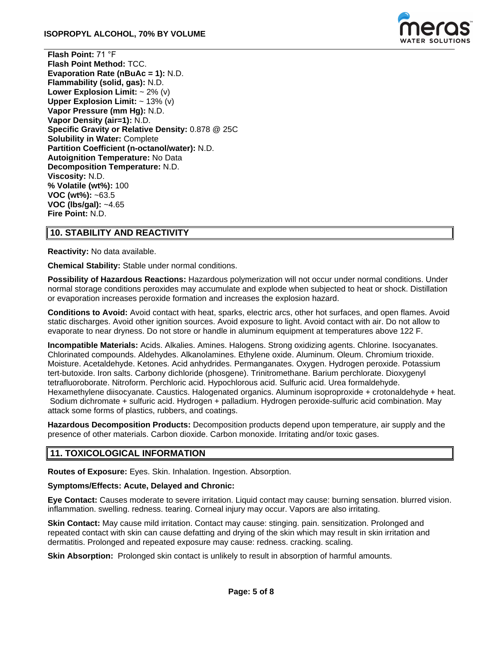

**Flash Point:** 71 °F **Flash Point Method:** TCC. **Evaporation Rate (nBuAc = 1):** N.D. **Flammability (solid, gas):** N.D. **Lower Explosion Limit:** ~ 2% (v) **Upper Explosion Limit:** ~ 13% (v) **Vapor Pressure (mm Hg):** N.D. **Vapor Density (air=1):** N.D. **Specific Gravity or Relative Density:** 0.878 @ 25C **Solubility in Water:** Complete **Partition Coefficient (n-octanol/water):** N.D. **Autoignition Temperature:** No Data **Decomposition Temperature:** N.D. **Viscosity:** N.D. **% Volatile (wt%):** 100 **VOC (wt%):** ~63.5 **VOC (lbs/gal):** ~4.65 **Fire Point:** N.D.

## **10. STABILITY AND REACTIVITY**

**Reactivity:** No data available.

**Chemical Stability:** Stable under normal conditions.

**Possibility of Hazardous Reactions:** Hazardous polymerization will not occur under normal conditions. Under normal storage conditions peroxides may accumulate and explode when subjected to heat or shock. Distillation or evaporation increases peroxide formation and increases the explosion hazard.

**Conditions to Avoid:** Avoid contact with heat, sparks, electric arcs, other hot surfaces, and open flames. Avoid static discharges. Avoid other ignition sources. Avoid exposure to light. Avoid contact with air. Do not allow to evaporate to near dryness. Do not store or handle in aluminum equipment at temperatures above 122 F.

**Incompatible Materials:** Acids. Alkalies. Amines. Halogens. Strong oxidizing agents. Chlorine. Isocyanates. Chlorinated compounds. Aldehydes. Alkanolamines. Ethylene oxide. Aluminum. Oleum. Chromium trioxide. Moisture. Acetaldehyde. Ketones. Acid anhydrides. Permanganates. Oxygen. Hydrogen peroxide. Potassium tert-butoxide. Iron salts. Carbony dichloride (phosgene). Trinitromethane. Barium perchlorate. Dioxygenyl tetrafluoroborate. Nitroform. Perchloric acid. Hypochlorous acid. Sulfuric acid. Urea formaldehyde. Hexamethylene diisocyanate. Caustics. Halogenated organics. Aluminum isoproproxide + crotonaldehyde + heat. Sodium dichromate + sulfuric acid. Hydrogen + palladium. Hydrogen peroxide-sulfuric acid combination. May attack some forms of plastics, rubbers, and coatings.

**Hazardous Decomposition Products:** Decomposition products depend upon temperature, air supply and the presence of other materials. Carbon dioxide. Carbon monoxide. Irritating and/or toxic gases.

### **11. TOXICOLOGICAL INFORMATION**

**Routes of Exposure:** Eyes. Skin. Inhalation. Ingestion. Absorption.

#### **Symptoms/Effects: Acute, Delayed and Chronic:**

**Eye Contact:** Causes moderate to severe irritation. Liquid contact may cause: burning sensation. blurred vision. inflammation. swelling. redness. tearing. Corneal injury may occur. Vapors are also irritating.

**Skin Contact:** May cause mild irritation. Contact may cause: stinging. pain. sensitization. Prolonged and repeated contact with skin can cause defatting and drying of the skin which may result in skin irritation and dermatitis. Prolonged and repeated exposure may cause: redness. cracking. scaling.

**Skin Absorption:** Prolonged skin contact is unlikely to result in absorption of harmful amounts.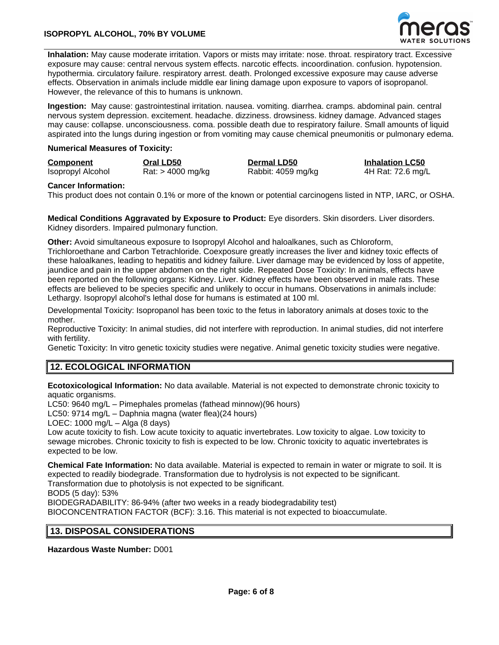

**Inhalation:** May cause moderate irritation. Vapors or mists may irritate: nose. throat. respiratory tract. Excessive exposure may cause: central nervous system effects. narcotic effects. incoordination. confusion. hypotension. hypothermia. circulatory failure. respiratory arrest. death. Prolonged excessive exposure may cause adverse effects. Observation in animals include middle ear lining damage upon exposure to vapors of isopropanol. However, the relevance of this to humans is unknown.

**Ingestion:** May cause: gastrointestinal irritation. nausea. vomiting. diarrhea. cramps. abdominal pain. central nervous system depression. excitement. headache. dizziness. drowsiness. kidney damage. Advanced stages may cause: collapse. unconsciousness. coma. possible death due to respiratory failure. Small amounts of liquid aspirated into the lungs during ingestion or from vomiting may cause chemical pneumonitis or pulmonary edema.

#### **Numerical Measures of Toxicity:**

| <b>Component</b>  | Oral LD50           | <b>Dermal LD50</b> | <b>Inhalation LC50</b> |
|-------------------|---------------------|--------------------|------------------------|
| Isopropyl Alcohol | $Rat:$ > 4000 mg/kg | Rabbit: 4059 mg/kg | 4H Rat: 72.6 mg/L      |

#### **Cancer Information:**

This product does not contain 0.1% or more of the known or potential carcinogens listed in NTP, IARC, or OSHA.

**Medical Conditions Aggravated by Exposure to Product:** Eye disorders. Skin disorders. Liver disorders. Kidney disorders. Impaired pulmonary function.

**Other:** Avoid simultaneous exposure to Isopropyl Alcohol and haloalkanes, such as Chloroform, Trichloroethane and Carbon Tetrachloride. Coexposure greatly increases the liver and kidney toxic effects of these haloalkanes, leading to hepatitis and kidney failure. Liver damage may be evidenced by loss of appetite, jaundice and pain in the upper abdomen on the right side. Repeated Dose Toxicity: In animals, effects have been reported on the following organs: Kidney. Liver. Kidney effects have been observed in male rats. These effects are believed to be species specific and unlikely to occur in humans. Observations in animals include: Lethargy. Isopropyl alcohol's lethal dose for humans is estimated at 100 ml.

Developmental Toxicity: Isopropanol has been toxic to the fetus in laboratory animals at doses toxic to the mother.

Reproductive Toxicity: In animal studies, did not interfere with reproduction. In animal studies, did not interfere with fertility.

Genetic Toxicity: In vitro genetic toxicity studies were negative. Animal genetic toxicity studies were negative.

### **12. ECOLOGICAL INFORMATION**

**Ecotoxicological Information:** No data available. Material is not expected to demonstrate chronic toxicity to aquatic organisms.

LC50: 9640 mg/L – Pimephales promelas (fathead minnow)(96 hours)

LC50: 9714 mg/L – Daphnia magna (water flea)(24 hours)

LOEC: 1000 mg/L – Alga (8 days)

Low acute toxicity to fish. Low acute toxicity to aquatic invertebrates. Low toxicity to algae. Low toxicity to sewage microbes. Chronic toxicity to fish is expected to be low. Chronic toxicity to aquatic invertebrates is expected to be low.

**Chemical Fate Information:** No data available. Material is expected to remain in water or migrate to soil. It is expected to readily biodegrade. Transformation due to hydrolysis is not expected to be significant. Transformation due to photolysis is not expected to be significant.

BOD5 (5 day): 53%

BIODEGRADABILITY: 86-94% (after two weeks in a ready biodegradability test)

BIOCONCENTRATION FACTOR (BCF): 3.16. This material is not expected to bioaccumulate.

### **13. DISPOSAL CONSIDERATIONS**

**Hazardous Waste Number:** D001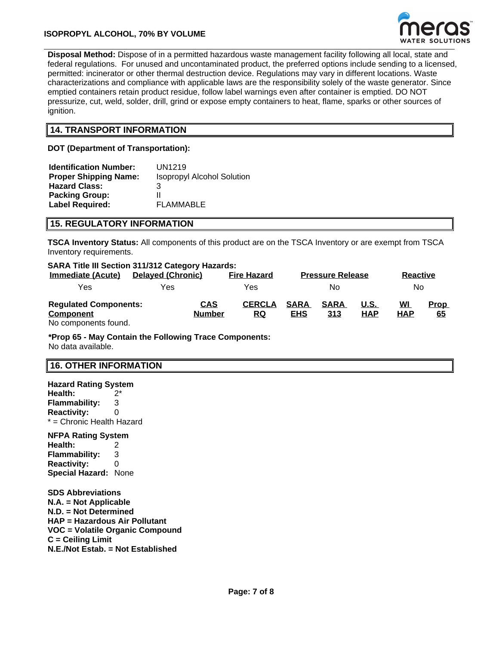

**Disposal Method:** Dispose of in a permitted hazardous waste management facility following all local, state and federal regulations. For unused and uncontaminated product, the preferred options include sending to a licensed, permitted: incinerator or other thermal destruction device. Regulations may vary in different locations. Waste characterizations and compliance with applicable laws are the responsibility solely of the waste generator. Since emptied containers retain product residue, follow label warnings even after container is emptied. DO NOT pressurize, cut, weld, solder, drill, grind or expose empty containers to heat, flame, sparks or other sources of ignition.

### **14. TRANSPORT INFORMATION**

**DOT (Department of Transportation):**

| <b>Identification Number:</b> | UN1219                            |
|-------------------------------|-----------------------------------|
| <b>Proper Shipping Name:</b>  | <b>Isopropyl Alcohol Solution</b> |
| <b>Hazard Class:</b>          | З                                 |
| <b>Packing Group:</b>         |                                   |
| <b>Label Required:</b>        | <b>FLAMMABLE</b>                  |

### **15. REGULATORY INFORMATION**

**TSCA Inventory Status:** All components of this product are on the TSCA Inventory or are exempt from TSCA Inventory requirements.

| <b>SARA Title III Section 311/312 Category Hazards:</b> |                          |               |                    |             |                         |            |                 |             |
|---------------------------------------------------------|--------------------------|---------------|--------------------|-------------|-------------------------|------------|-----------------|-------------|
| <b>Immediate (Acute)</b>                                | <b>Delayed (Chronic)</b> |               | <b>Fire Hazard</b> |             | <b>Pressure Release</b> |            | <b>Reactive</b> |             |
| Yes                                                     | Yes                      |               | Yes                |             | No                      |            | No              |             |
| <b>Regulated Components:</b>                            |                          | <b>CAS</b>    | <b>CERCLA</b>      | <b>SARA</b> | <b>SARA</b>             | U.S.       | <u>WI</u>       | <b>Prop</b> |
| <b>Component</b>                                        |                          | <b>Number</b> | RQ                 | <b>EHS</b>  | 313                     | <b>HAP</b> | <b>HAP</b>      | 65          |
| No components found.                                    |                          |               |                    |             |                         |            |                 |             |

**\*Prop 65 - May Contain the Following Trace Components:** No data available.

### **16. OTHER INFORMATION**

**Hazard Rating System Health:** 2\* **Flammability:** 3 **Reactivity:** 0 \* = Chronic Health Hazard **NFPA Rating System Health:** 2 **Flammability:** 3 **Reactivity:** 0 **Special Hazard:** None **SDS Abbreviations N.A. = Not Applicable N.D. = Not Determined HAP = Hazardous Air Pollutant VOC = Volatile Organic Compound C = Ceiling Limit N.E./Not Estab. = Not Established**